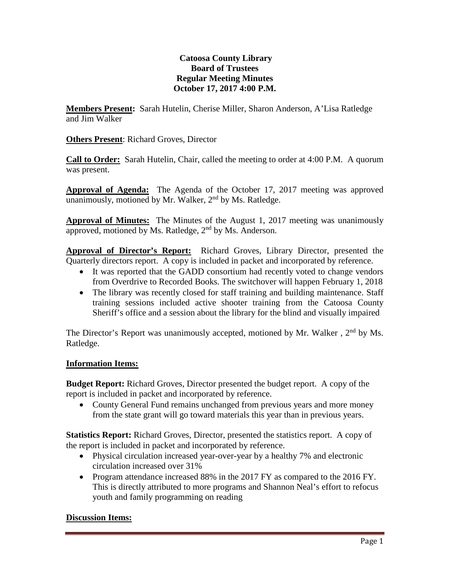# **Catoosa County Library Board of Trustees Regular Meeting Minutes October 17, 2017 4:00 P.M.**

**Members Present:** Sarah Hutelin, Cherise Miller, Sharon Anderson, A'Lisa Ratledge and Jim Walker

**Others Present**: Richard Groves, Director

**Call to Order:** Sarah Hutelin, Chair, called the meeting to order at 4:00 P.M. A quorum was present.

**Approval of Agenda:** The Agenda of the October 17, 2017 meeting was approved unanimously, motioned by Mr. Walker,  $2<sup>nd</sup>$  by Ms. Ratledge.

**Approval of Minutes:** The Minutes of the August 1, 2017 meeting was unanimously approved, motioned by Ms. Ratledge,  $2<sup>nd</sup>$  by Ms. Anderson.

**Approval of Director's Report:** Richard Groves, Library Director, presented the Quarterly directors report. A copy is included in packet and incorporated by reference.

- It was reported that the GADD consortium had recently voted to change vendors from Overdrive to Recorded Books. The switchover will happen February 1, 2018
- The library was recently closed for staff training and building maintenance. Staff training sessions included active shooter training from the Catoosa County Sheriff's office and a session about the library for the blind and visually impaired

The Director's Report was unanimously accepted, motioned by Mr. Walker,  $2<sup>nd</sup>$  by Ms. Ratledge.

# **Information Items:**

**Budget Report:** Richard Groves, Director presented the budget report. A copy of the report is included in packet and incorporated by reference.

• County General Fund remains unchanged from previous years and more money from the state grant will go toward materials this year than in previous years.

**Statistics Report:** Richard Groves, Director, presented the statistics report. A copy of the report is included in packet and incorporated by reference.

- Physical circulation increased year-over-year by a healthy 7% and electronic circulation increased over 31%
- Program attendance increased 88% in the 2017 FY as compared to the 2016 FY. This is directly attributed to more programs and Shannon Neal's effort to refocus youth and family programming on reading

# **Discussion Items:**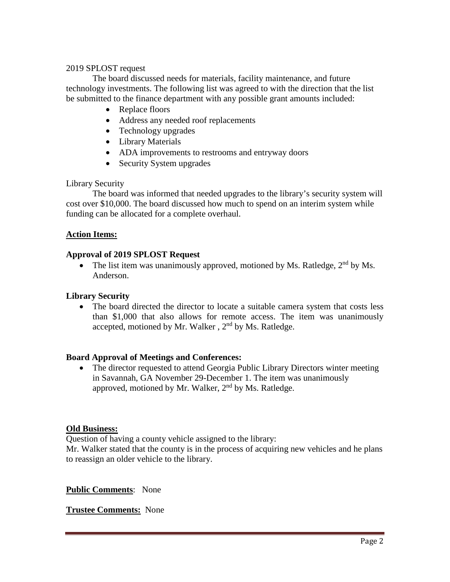### 2019 SPLOST request

The board discussed needs for materials, facility maintenance, and future technology investments. The following list was agreed to with the direction that the list be submitted to the finance department with any possible grant amounts included:

- Replace floors
- Address any needed roof replacements
- Technology upgrades
- Library Materials
- ADA improvements to restrooms and entryway doors
- Security System upgrades

### Library Security

The board was informed that needed upgrades to the library's security system will cost over \$10,000. The board discussed how much to spend on an interim system while funding can be allocated for a complete overhaul.

### **Action Items:**

### **Approval of 2019 SPLOST Request**

• The list item was unanimously approved, motioned by Ms. Ratledge,  $2<sup>nd</sup>$  by Ms. Anderson.

### **Library Security**

• The board directed the director to locate a suitable camera system that costs less than \$1,000 that also allows for remote access. The item was unanimously accepted, motioned by Mr. Walker, 2<sup>nd</sup> by Ms. Ratledge.

# **Board Approval of Meetings and Conferences:**

• The director requested to attend Georgia Public Library Directors winter meeting in Savannah, GA November 29-December 1. The item was unanimously approved, motioned by Mr. Walker, 2<sup>nd</sup> by Ms. Ratledge.

#### **Old Business:**

Question of having a county vehicle assigned to the library:

Mr. Walker stated that the county is in the process of acquiring new vehicles and he plans to reassign an older vehicle to the library.

**Public Comments**: None

**Trustee Comments:** None